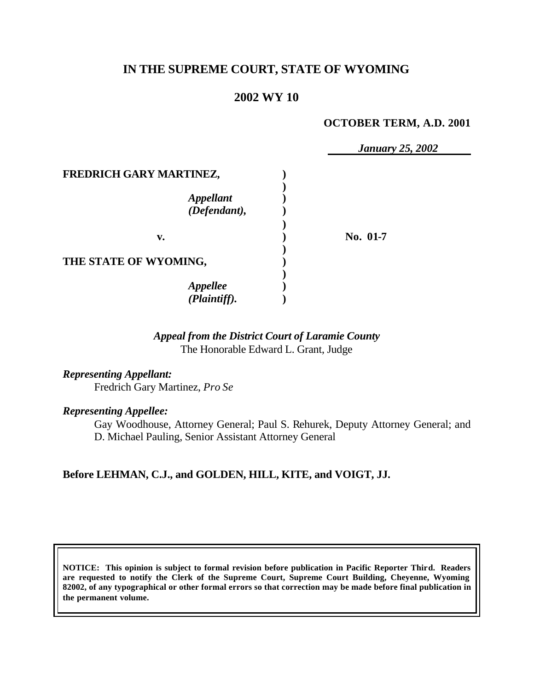# **IN THE SUPREME COURT, STATE OF WYOMING**

# **2002 WY 10**

#### **OCTOBER TERM, A.D. 2001**

|                           | <b>January 25, 2002</b> |
|---------------------------|-------------------------|
| FREDRICH GARY MARTINEZ,   |                         |
|                           |                         |
|                           |                         |
| Appellant<br>(Defendant), |                         |
|                           |                         |
| v.                        | No. 01-7                |
|                           |                         |
| THE STATE OF WYOMING,     |                         |
|                           |                         |
| <b>Appellee</b>           |                         |
| (Plaintiff).              |                         |

### *Appeal from the District Court of Laramie County* The Honorable Edward L. Grant, Judge

*Representing Appellant:* Fredrich Gary Martinez, *Pro Se*

#### *Representing Appellee:*

Gay Woodhouse, Attorney General; Paul S. Rehurek, Deputy Attorney General; and D. Michael Pauling, Senior Assistant Attorney General

### **Before LEHMAN, C.J., and GOLDEN, HILL, KITE, and VOIGT, JJ.**

**NOTICE: This opinion is subject to formal revision before publication in Pacific Reporter Third. Readers are requested to notify the Clerk of the Supreme Court, Supreme Court Building, Cheyenne, Wyoming 82002, of any typographical or other formal errors so that correction may be made before final publication in the permanent volume.**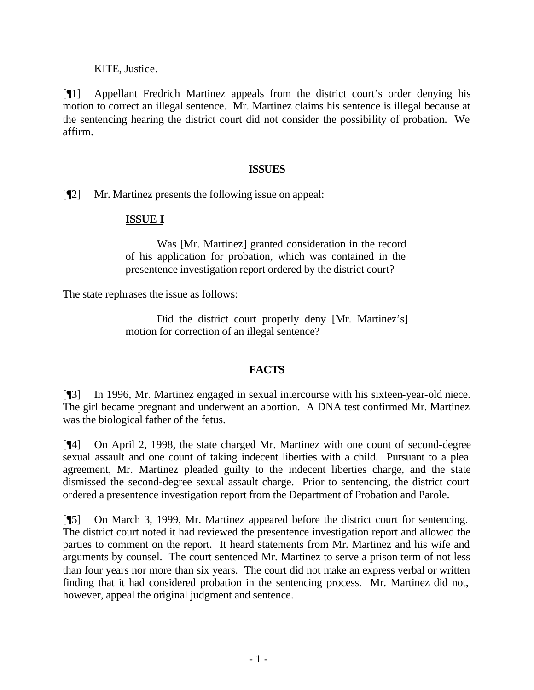KITE, Justice.

[¶1] Appellant Fredrich Martinez appeals from the district court's order denying his motion to correct an illegal sentence. Mr. Martinez claims his sentence is illegal because at the sentencing hearing the district court did not consider the possibility of probation. We affirm.

### **ISSUES**

[¶2] Mr. Martinez presents the following issue on appeal:

## **ISSUE I**

Was [Mr. Martinez] granted consideration in the record of his application for probation, which was contained in the presentence investigation report ordered by the district court?

The state rephrases the issue as follows:

Did the district court properly deny [Mr. Martinez's] motion for correction of an illegal sentence?

## **FACTS**

[¶3] In 1996, Mr. Martinez engaged in sexual intercourse with his sixteen-year-old niece. The girl became pregnant and underwent an abortion. A DNA test confirmed Mr. Martinez was the biological father of the fetus.

[¶4] On April 2, 1998, the state charged Mr. Martinez with one count of second-degree sexual assault and one count of taking indecent liberties with a child. Pursuant to a plea agreement, Mr. Martinez pleaded guilty to the indecent liberties charge, and the state dismissed the second-degree sexual assault charge. Prior to sentencing, the district court ordered a presentence investigation report from the Department of Probation and Parole.

[¶5] On March 3, 1999, Mr. Martinez appeared before the district court for sentencing. The district court noted it had reviewed the presentence investigation report and allowed the parties to comment on the report. It heard statements from Mr. Martinez and his wife and arguments by counsel. The court sentenced Mr. Martinez to serve a prison term of not less than four years nor more than six years. The court did not make an express verbal or written finding that it had considered probation in the sentencing process. Mr. Martinez did not, however, appeal the original judgment and sentence.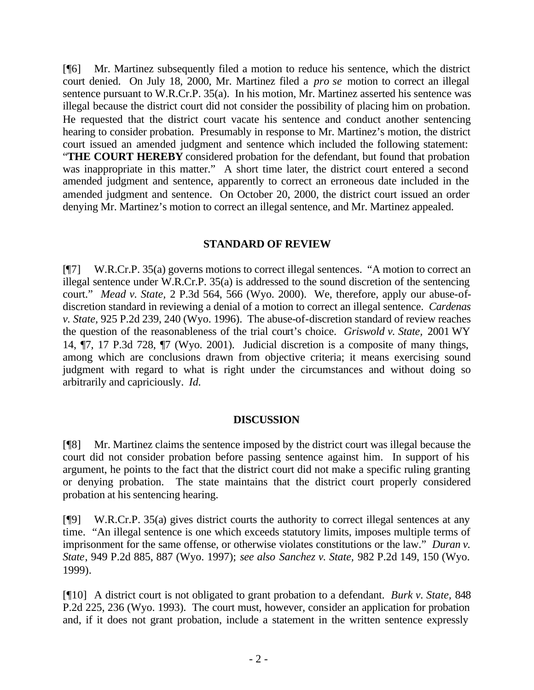[¶6] Mr. Martinez subsequently filed a motion to reduce his sentence, which the district court denied. On July 18, 2000, Mr. Martinez filed a *pro se* motion to correct an illegal sentence pursuant to W.R.Cr.P. 35(a). In his motion, Mr. Martinez asserted his sentence was illegal because the district court did not consider the possibility of placing him on probation. He requested that the district court vacate his sentence and conduct another sentencing hearing to consider probation. Presumably in response to Mr. Martinez's motion, the district court issued an amended judgment and sentence which included the following statement: "**THE COURT HEREBY** considered probation for the defendant, but found that probation was inappropriate in this matter." A short time later, the district court entered a second amended judgment and sentence, apparently to correct an erroneous date included in the amended judgment and sentence. On October 20, 2000, the district court issued an order denying Mr. Martinez's motion to correct an illegal sentence, and Mr. Martinez appealed.

### **STANDARD OF REVIEW**

[¶7] W.R.Cr.P. 35(a) governs motions to correct illegal sentences. "A motion to correct an illegal sentence under W.R.Cr.P. 35(a) is addressed to the sound discretion of the sentencing court." *Mead v. State,* 2 P.3d 564, 566 (Wyo. 2000). We, therefore, apply our abuse-ofdiscretion standard in reviewing a denial of a motion to correct an illegal sentence. *Cardenas v. State,* 925 P.2d 239, 240 (Wyo. 1996). The abuse-of-discretion standard of review reaches the question of the reasonableness of the trial court's choice. *Griswold v. State,* 2001 WY 14, ¶7, 17 P.3d 728, ¶7 (Wyo. 2001). Judicial discretion is a composite of many things, among which are conclusions drawn from objective criteria; it means exercising sound judgment with regard to what is right under the circumstances and without doing so arbitrarily and capriciously. *Id.*

### **DISCUSSION**

[¶8] Mr. Martinez claims the sentence imposed by the district court was illegal because the court did not consider probation before passing sentence against him. In support of his argument, he points to the fact that the district court did not make a specific ruling granting or denying probation. The state maintains that the district court properly considered probation at his sentencing hearing.

[¶9] W.R.Cr.P. 35(a) gives district courts the authority to correct illegal sentences at any time. "An illegal sentence is one which exceeds statutory limits, imposes multiple terms of imprisonment for the same offense, or otherwise violates constitutions or the law." *Duran v. State*, 949 P.2d 885, 887 (Wyo. 1997); *see also Sanchez v. State,* 982 P.2d 149, 150 (Wyo. 1999).

[¶10] A district court is not obligated to grant probation to a defendant. *Burk v. State,* 848 P.2d 225, 236 (Wyo. 1993). The court must, however, consider an application for probation and, if it does not grant probation, include a statement in the written sentence expressly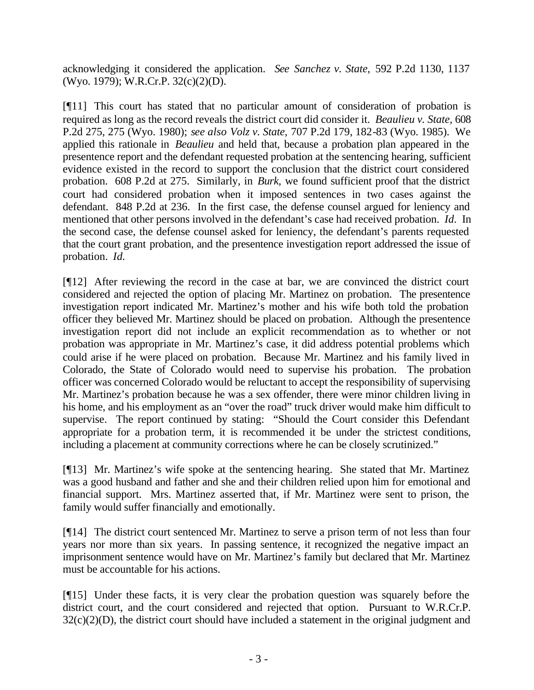acknowledging it considered the application. *See Sanchez v. State,* 592 P.2d 1130, 1137 (Wyo. 1979); W.R.Cr.P. 32(c)(2)(D).

[¶11] This court has stated that no particular amount of consideration of probation is required as long as the record reveals the district court did consider it. *Beaulieu v. State,* 608 P.2d 275, 275 (Wyo. 1980); *see also Volz v. State,* 707 P.2d 179, 182-83 (Wyo. 1985). We applied this rationale in *Beaulieu* and held that, because a probation plan appeared in the presentence report and the defendant requested probation at the sentencing hearing, sufficient evidence existed in the record to support the conclusion that the district court considered probation. 608 P.2d at 275. Similarly, in *Burk,* we found sufficient proof that the district court had considered probation when it imposed sentences in two cases against the defendant. 848 P.2d at 236. In the first case, the defense counsel argued for leniency and mentioned that other persons involved in the defendant's case had received probation. *Id.* In the second case, the defense counsel asked for leniency, the defendant's parents requested that the court grant probation, and the presentence investigation report addressed the issue of probation. *Id.*

[¶12] After reviewing the record in the case at bar, we are convinced the district court considered and rejected the option of placing Mr. Martinez on probation. The presentence investigation report indicated Mr. Martinez's mother and his wife both told the probation officer they believed Mr. Martinez should be placed on probation. Although the presentence investigation report did not include an explicit recommendation as to whether or not probation was appropriate in Mr. Martinez's case, it did address potential problems which could arise if he were placed on probation. Because Mr. Martinez and his family lived in Colorado, the State of Colorado would need to supervise his probation. The probation officer was concerned Colorado would be reluctant to accept the responsibility of supervising Mr. Martinez's probation because he was a sex offender, there were minor children living in his home, and his employment as an "over the road" truck driver would make him difficult to supervise. The report continued by stating: "Should the Court consider this Defendant appropriate for a probation term, it is recommended it be under the strictest conditions, including a placement at community corrections where he can be closely scrutinized."

[¶13] Mr. Martinez's wife spoke at the sentencing hearing. She stated that Mr. Martinez was a good husband and father and she and their children relied upon him for emotional and financial support. Mrs. Martinez asserted that, if Mr. Martinez were sent to prison, the family would suffer financially and emotionally.

[¶14] The district court sentenced Mr. Martinez to serve a prison term of not less than four years nor more than six years. In passing sentence, it recognized the negative impact an imprisonment sentence would have on Mr. Martinez's family but declared that Mr. Martinez must be accountable for his actions.

[¶15] Under these facts, it is very clear the probation question was squarely before the district court, and the court considered and rejected that option. Pursuant to W.R.Cr.P.  $32(c)(2)(D)$ , the district court should have included a statement in the original judgment and